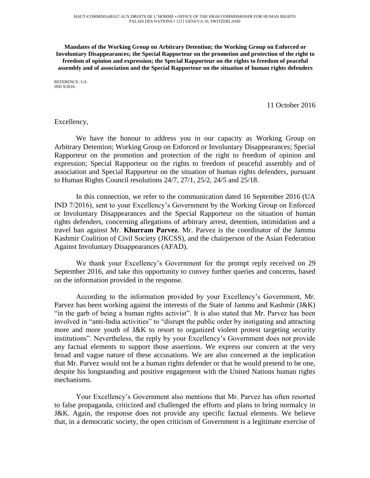**Mandates of the Working Group on Arbitrary Detention; the Working Group on Enforced or Involuntary Disappearances; the Special Rapporteur on the promotion and protection of the right to freedom of opinion and expression; the Special Rapporteur on the rights to freedom of peaceful assembly and of association and the Special Rapporteur on the situation of human rights defenders**

REFERENCE: UA IND 9/2016:

11 October 2016

Excellency,

We have the honour to address you in our capacity as Working Group on Arbitrary Detention; Working Group on Enforced or Involuntary Disappearances; Special Rapporteur on the promotion and protection of the right to freedom of opinion and expression; Special Rapporteur on the rights to freedom of peaceful assembly and of association and Special Rapporteur on the situation of human rights defenders, pursuant to Human Rights Council resolutions 24/7, 27/1, 25/2, 24/5 and 25/18.

In this connection, we refer to the communication dated 16 September 2016 (UA IND 7/2016), sent to your Excellency's Government by the Working Group on Enforced or Involuntary Disappearances and the Special Rapporteur on the situation of human rights defenders, concerning allegations of arbitrary arrest, detention, intimidation and a travel ban against Mr. **Khurram Parvez**. Mr. Parvez is the coordinator of the Jammu Kashmir Coalition of Civil Society (JKCSS), and the chairperson of the Asian Federation Against Involuntary Disappearances (AFAD).

We thank your Excellency's Government for the prompt reply received on 29 September 2016, and take this opportunity to convey further queries and concerns, based on the information provided in the response.

According to the information provided by your Excellency's Government, Mr. Parvez has been working against the interests of the State of Jammu and Kashmir (J&K) "in the garb of being a human rights activist". It is also stated that Mr. Parvez has been involved in "anti-India activities" to "disrupt the public order by instigating and attracting more and more youth of J&K to resort to organized violent protest targeting security institutions". Nevertheless, the reply by your Excellency's Government does not provide any factual elements to support those assertions. We express our concern at the very broad and vague nature of these accusations. We are also concerned at the implication that Mr. Parvez would not be a human rights defender or that he would pretend to be one, despite his longstanding and positive engagement with the United Nations human rights mechanisms.

Your Excellency's Government also mentions that Mr. Parvez has often resorted to false propaganda, criticized and challenged the efforts and plans to bring normalcy in J&K. Again, the response does not provide any specific factual elements. We believe that, in a democratic society, the open criticism of Government is a legitimate exercise of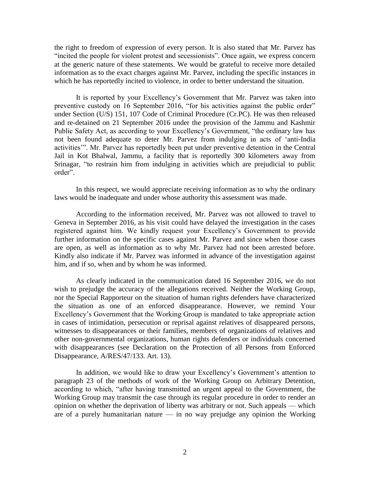the right to freedom of expression of every person. It is also stated that Mr. Parvez has "incited the people for violent protest and secessionists". Once again, we express concern at the generic nature of these statements. We would be grateful to receive more detailed information as to the exact charges against Mr. Parvez, including the specific instances in which he has reportedly incited to violence, in order to better understand the situation.

It is reported by your Excellency's Government that Mr. Parvez was taken into preventive custody on 16 September 2016, "for his activities against the public order" under Section (U/S) 151, 107 Code of Criminal Procedure (Cr.PC). He was then released and re-detained on 21 September 2016 under the provision of the Jammu and Kashmir Public Safety Act, as according to your Excellency's Government, "the ordinary law has not been found adequate to deter Mr. Parvez from indulging in acts of 'anti-India activities'". Mr. Parvez has reportedly been put under preventive detention in the Central Jail in Kot Bhalwal, Jammu, a facility that is reportedly 300 kilometers away from Srinagar, "to restrain him from indulging in activities which are prejudicial to public order".

In this respect, we would appreciate receiving information as to why the ordinary laws would be inadequate and under whose authority this assessment was made.

According to the information received, Mr. Parvez was not allowed to travel to Geneva in September 2016, as his visit could have delayed the investigation in the cases registered against him. We kindly request your Excellency's Government to provide further information on the specific cases against Mr. Parvez and since when those cases are open, as well as information as to why Mr. Parvez had not been arrested before. Kindly also indicate if Mr. Parvez was informed in advance of the investigation against him, and if so, when and by whom he was informed.

As clearly indicated in the communication dated 16 September 2016, we do not wish to prejudge the accuracy of the allegations received. Neither the Working Group, nor the Special Rapporteur on the situation of human rights defenders have characterized the situation as one of an enforced disappearance. However, we remind Your Excellency's Government that the Working Group is mandated to take appropriate action in cases of intimidation, persecution or reprisal against relatives of disappeared persons, witnesses to disappearances or their families, members of organizations of relatives and other non-governmental organizations, human rights defenders or individuals concerned with disappearances (see Declaration on the Protection of all Persons from Enforced Disappearance, A/RES/47/133. Art. 13).

In addition, we would like to draw your Excellency's Government's attention to paragraph 23 of the methods of work of the Working Group on Arbitrary Detention, according to which, "after having transmitted an urgent appeal to the Government, the Working Group may transmit the case through its regular procedure in order to render an opinion on whether the deprivation of liberty was arbitrary or not. Such appeals — which are of a purely humanitarian nature — in no way prejudge any opinion the Working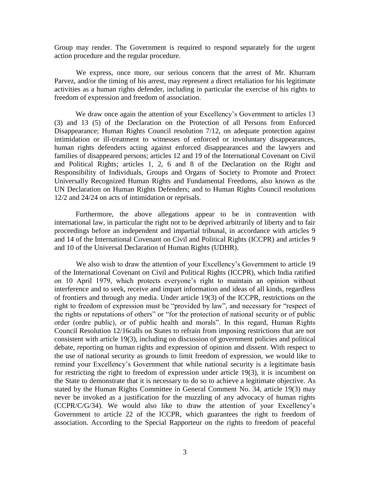Group may render. The Government is required to respond separately for the urgent action procedure and the regular procedure.

We express, once more, our serious concern that the arrest of Mr. Khurram Parvez, and/or the timing of his arrest, may represent a direct retaliation for his legitimate activities as a human rights defender, including in particular the exercise of his rights to freedom of expression and freedom of association.

We draw once again the attention of your Excellency's Government to articles 13 (3) and 13 (5) of the Declaration on the Protection of all Persons from Enforced Disappearance; Human Rights Council resolution 7/12, on adequate protection against intimidation or ill-treatment to witnesses of enforced or involuntary disappearances, human rights defenders acting against enforced disappearances and the lawyers and families of disappeared persons; articles 12 and 19 of the International Covenant on Civil and Political Rights; articles 1, 2, 6 and 8 of the Declaration on the Right and Responsibility of Individuals, Groups and Organs of Society to Promote and Protect Universally Recognized Human Rights and Fundamental Freedoms, also known as the UN Declaration on Human Rights Defenders; and to Human Rights Council resolutions 12/2 and 24/24 on acts of intimidation or reprisals.

Furthermore, the above allegations appear to be in contravention with international law, in particular the right not to be deprived arbitrarily of liberty and to fair proceedings before an independent and impartial tribunal, in accordance with articles 9 and 14 of the International Covenant on Civil and Political Rights (ICCPR) and articles 9 and 10 of the Universal Declaration of Human Rights (UDHR).

We also wish to draw the attention of your Excellency's Government to article 19 of the International Covenant on Civil and Political Rights (ICCPR), which India ratified on 10 April 1979, which protects everyone's right to maintain an opinion without interference and to seek, receive and impart information and ideas of all kinds, regardless of frontiers and through any media. Under article 19(3) of the ICCPR, restrictions on the right to freedom of expression must be "provided by law", and necessary for "respect of the rights or reputations of others" or "for the protection of national security or of public order (ordre public), or of public health and morals". In this regard, Human Rights Council Resolution 12/16calls on States to refrain from imposing restrictions that are not consistent with article 19(3), including on discussion of government policies and political debate, reporting on human rights and expression of opinion and dissent. With respect to the use of national security as grounds to limit freedom of expression, we would like to remind your Excellency's Government that while national security is a legitimate basis for restricting the right to freedom of expression under article 19(3), it is incumbent on the State to demonstrate that it is necessary to do so to achieve a legitimate objective. As stated by the Human Rights Committee in General Comment No. 34, article 19(3) may never be invoked as a justification for the muzzling of any advocacy of human rights (CCPR/C/G/34). We would also like to draw the attention of your Excellency's Government to article 22 of the ICCPR, which guarantees the right to freedom of association. According to the Special Rapporteur on the rights to freedom of peaceful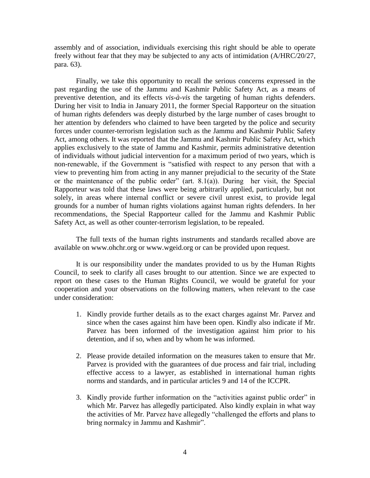assembly and of association, individuals exercising this right should be able to operate freely without fear that they may be subjected to any acts of intimidation (A/HRC/20/27, para. 63).

Finally, we take this opportunity to recall the serious concerns expressed in the past regarding the use of the Jammu and Kashmir Public Safety Act, as a means of preventive detention, and its effects *vis-à-vis* the targeting of human rights defenders. During her visit to India in January 2011, the former Special Rapporteur on the situation of human rights defenders was deeply disturbed by the large number of cases brought to her attention by defenders who claimed to have been targeted by the police and security forces under counter-terrorism legislation such as the Jammu and Kashmir Public Safety Act, among others. It was reported that the Jammu and Kashmir Public Safety Act, which applies exclusively to the state of Jammu and Kashmir, permits administrative detention of individuals without judicial intervention for a maximum period of two years, which is non-renewable, if the Government is "satisfied with respect to any person that with a view to preventing him from acting in any manner prejudicial to the security of the State or the maintenance of the public order" (art. 8.1(a)). During her visit, the Special Rapporteur was told that these laws were being arbitrarily applied, particularly, but not solely, in areas where internal conflict or severe civil unrest exist, to provide legal grounds for a number of human rights violations against human rights defenders. In her recommendations, the Special Rapporteur called for the Jammu and Kashmir Public Safety Act, as well as other counter-terrorism legislation, to be repealed.

The full texts of the human rights instruments and standards recalled above are available on www.ohchr.org or www.wgeid.org or can be provided upon request.

It is our responsibility under the mandates provided to us by the Human Rights Council, to seek to clarify all cases brought to our attention. Since we are expected to report on these cases to the Human Rights Council, we would be grateful for your cooperation and your observations on the following matters, when relevant to the case under consideration:

- 1. Kindly provide further details as to the exact charges against Mr. Parvez and since when the cases against him have been open. Kindly also indicate if Mr. Parvez has been informed of the investigation against him prior to his detention, and if so, when and by whom he was informed.
- 2. Please provide detailed information on the measures taken to ensure that Mr. Parvez is provided with the guarantees of due process and fair trial, including effective access to a lawyer, as established in international human rights norms and standards, and in particular articles 9 and 14 of the ICCPR.
- 3. Kindly provide further information on the "activities against public order" in which Mr. Parvez has allegedly participated. Also kindly explain in what way the activities of Mr. Parvez have allegedly "challenged the efforts and plans to bring normalcy in Jammu and Kashmir".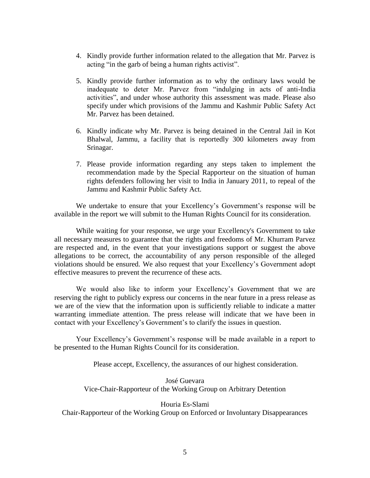- 4. Kindly provide further information related to the allegation that Mr. Parvez is acting "in the garb of being a human rights activist".
- 5. Kindly provide further information as to why the ordinary laws would be inadequate to deter Mr. Parvez from "indulging in acts of anti-India activities", and under whose authority this assessment was made. Please also specify under which provisions of the Jammu and Kashmir Public Safety Act Mr. Parvez has been detained.
- 6. Kindly indicate why Mr. Parvez is being detained in the Central Jail in Kot Bhalwal, Jammu, a facility that is reportedly 300 kilometers away from Srinagar.
- 7. Please provide information regarding any steps taken to implement the recommendation made by the Special Rapporteur on the situation of human rights defenders following her visit to India in January 2011, to repeal of the Jammu and Kashmir Public Safety Act.

We undertake to ensure that your Excellency's Government's response will be available in the report we will submit to the Human Rights Council for its consideration.

While waiting for your response, we urge your Excellency's Government to take all necessary measures to guarantee that the rights and freedoms of Mr. Khurram Parvez are respected and, in the event that your investigations support or suggest the above allegations to be correct, the accountability of any person responsible of the alleged violations should be ensured. We also request that your Excellency's Government adopt effective measures to prevent the recurrence of these acts.

We would also like to inform your Excellency's Government that we are reserving the right to publicly express our concerns in the near future in a press release as we are of the view that the information upon is sufficiently reliable to indicate a matter warranting immediate attention. The press release will indicate that we have been in contact with your Excellency's Government's to clarify the issues in question.

Your Excellency's Government's response will be made available in a report to be presented to the Human Rights Council for its consideration.

Please accept, Excellency, the assurances of our highest consideration.

José Guevara Vice-Chair-Rapporteur of the Working Group on Arbitrary Detention

Houria Es-Slami

Chair-Rapporteur of the Working Group on Enforced or Involuntary Disappearances